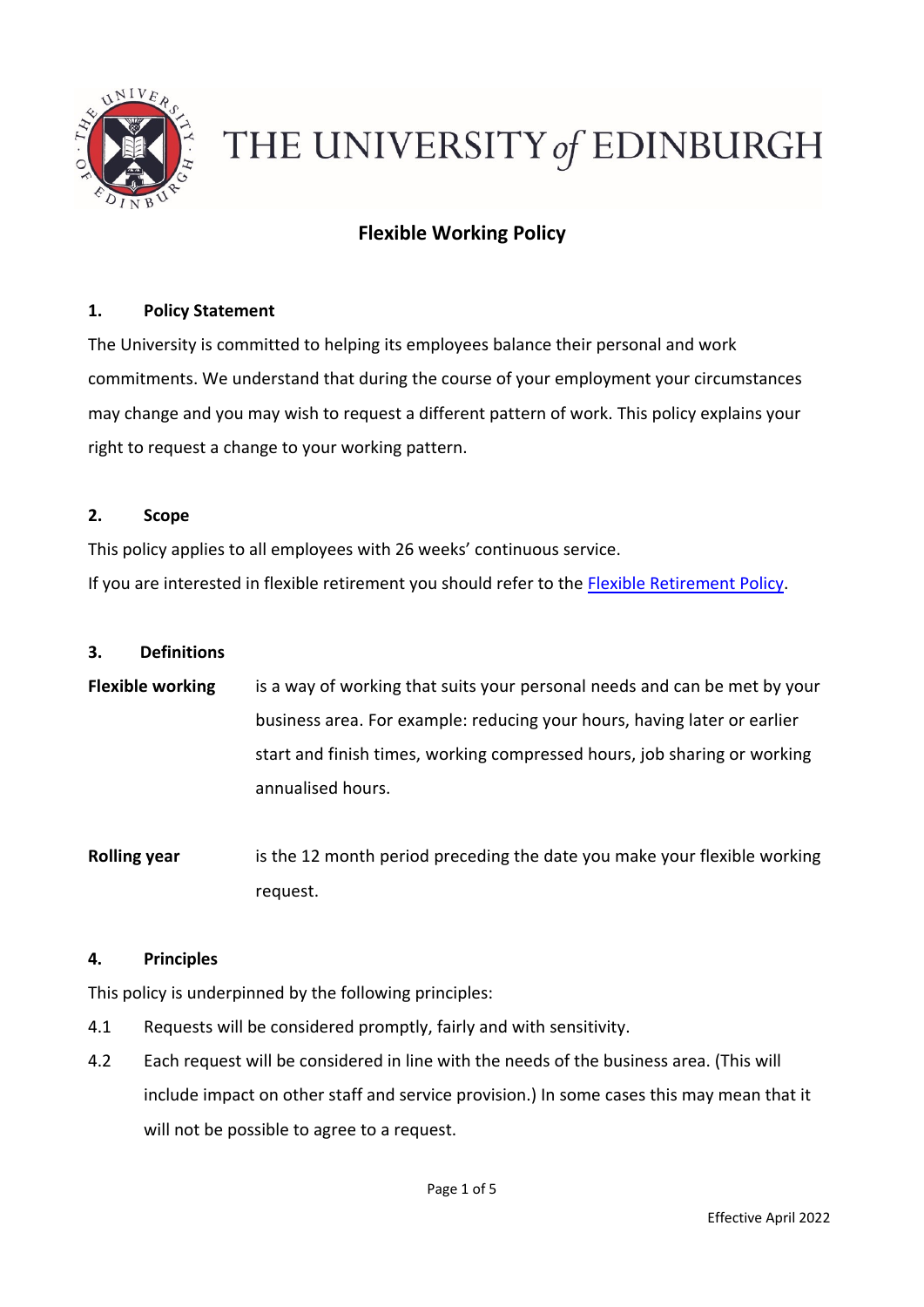

# THE UNIVERSITY of EDINBURGH

# **Flexible Working Policy**

## **1. Policy Statement**

The University is committed to helping its employees balance their personal and work commitments. We understand that during the course of your employment your circumstances may change and you may wish to request a different pattern of work. This policy explains your right to request a change to your working pattern.

#### **2. Scope**

This policy applies to all employees with 26 weeks' continuous service.

If you are interested in flexible retirement you should refer to the [Flexible Retirement Policy.](https://www.ed.ac.uk/human-resources/policies-guidance/a-to-z-of-policies-and-guidance)

#### **3. Definitions**

- **Flexible working** is a way of working that suits your personal needs and can be met by your business area. For example: reducing your hours, having later or earlier start and finish times, working compressed hours, job sharing or working annualised hours.
- **Rolling year** is the 12 month period preceding the date you make your flexible working request.

#### **4. Principles**

This policy is underpinned by the following principles:

- 4.1 Requests will be considered promptly, fairly and with sensitivity.
- 4.2 Each request will be considered in line with the needs of the business area. (This will include impact on other staff and service provision.) In some cases this may mean that it will not be possible to agree to a request.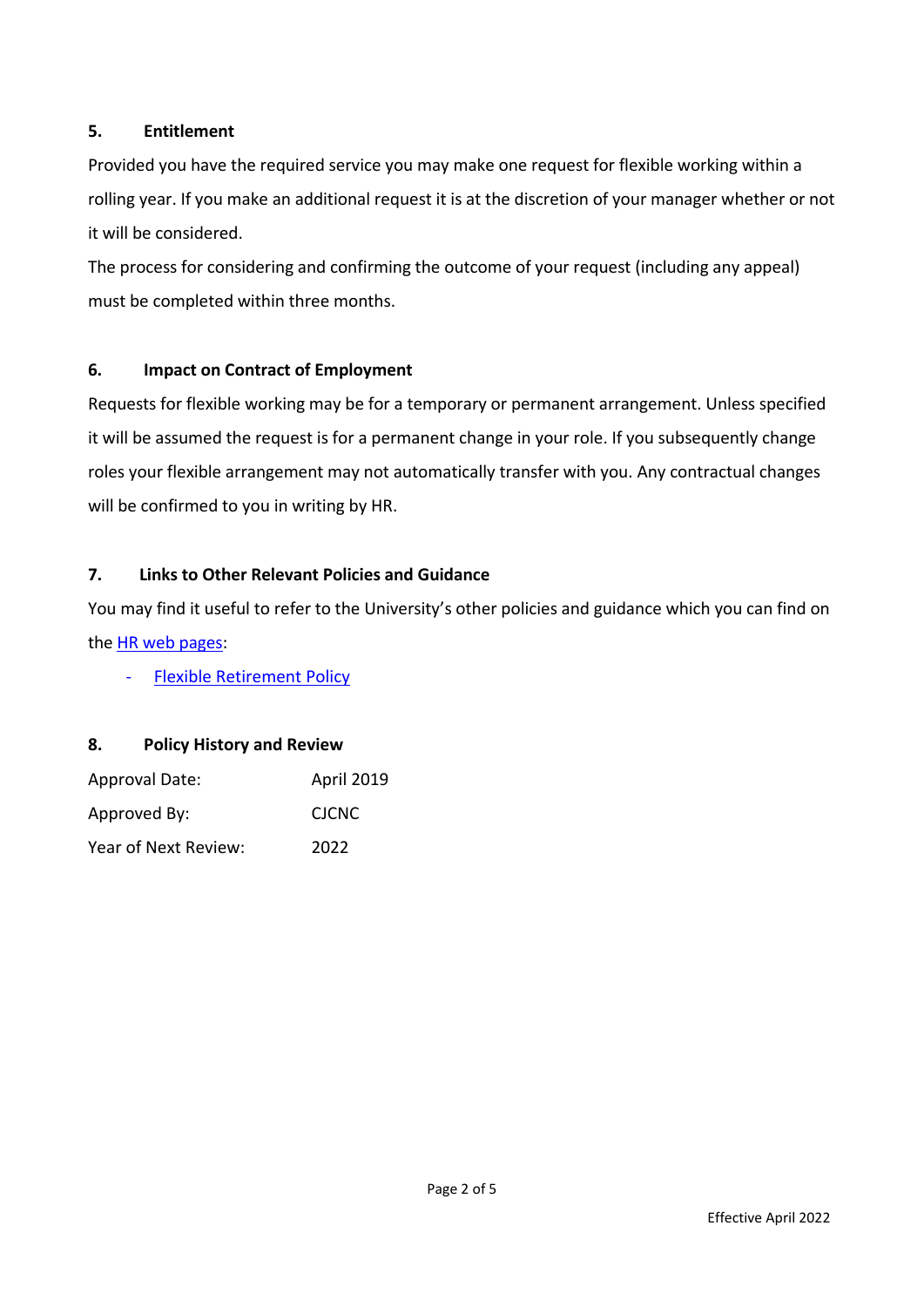## **5. Entitlement**

Provided you have the required service you may make one request for flexible working within a rolling year. If you make an additional request it is at the discretion of your manager whether or not it will be considered.

The process for considering and confirming the outcome of your request (including any appeal) must be completed within three months.

# **6. Impact on Contract of Employment**

Requests for flexible working may be for a temporary or permanent arrangement. Unless specified it will be assumed the request is for a permanent change in your role. If you subsequently change roles your flexible arrangement may not automatically transfer with you. Any contractual changes will be confirmed to you in writing by HR.

## **7. Links to Other Relevant Policies and Guidance**

You may find it useful to refer to the University's other policies and guidance which you can find on the [HR web pages:](https://www.ed.ac.uk/human-resources/policies-guidance/a-to-z-of-policies-and-guidance)

**[Flexible Retirement Policy](https://www.ed.ac.uk/human-resources/policies-guidance/a-to-z-of-policies-and-guidance)** 

# **8. Policy History and Review**

| Approval Date:       | April 2019   |
|----------------------|--------------|
| Approved By:         | <b>CICNC</b> |
| Year of Next Review: | 2022         |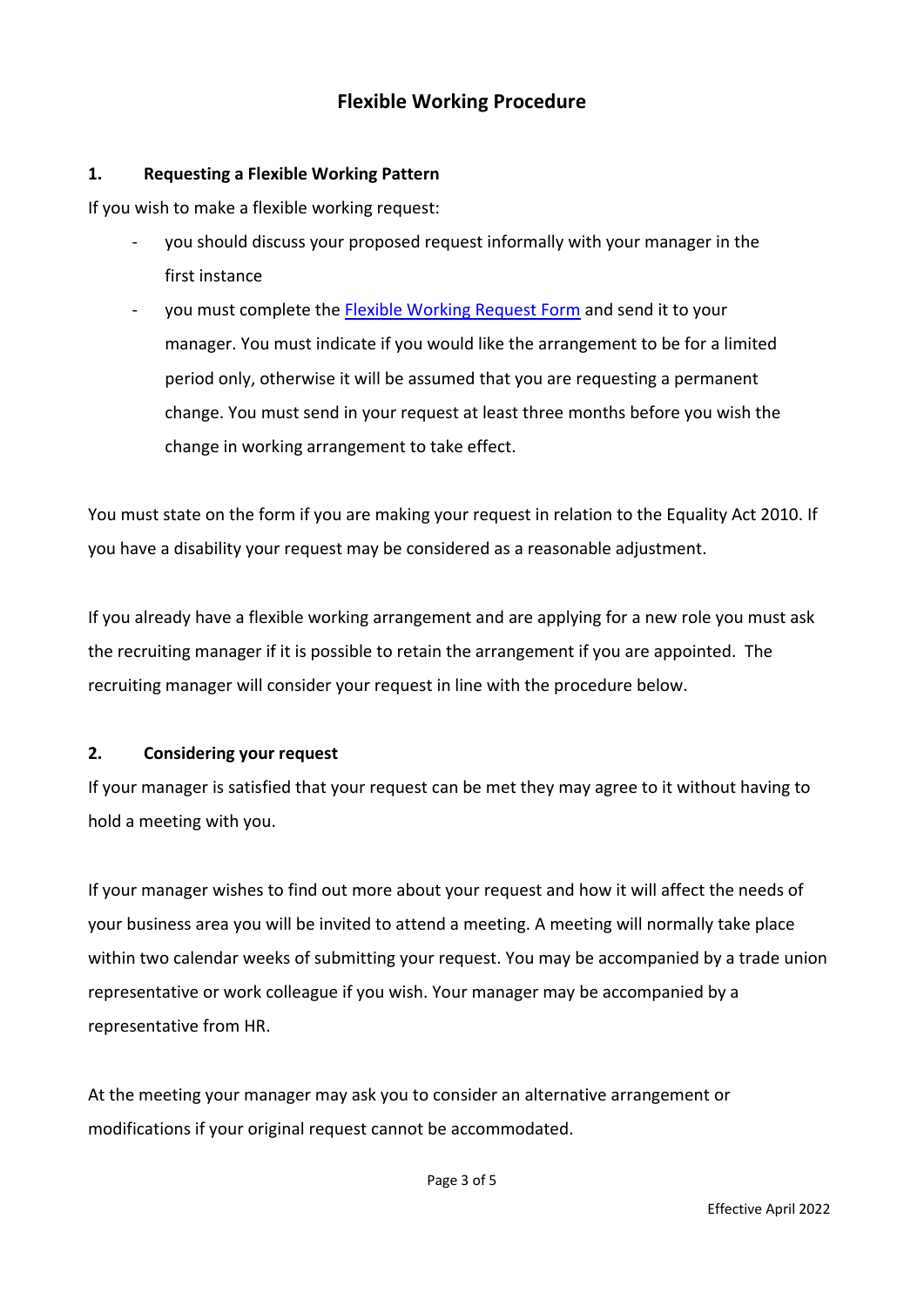# **Flexible Working Procedure**

#### **1. Requesting a Flexible Working Pattern**

If you wish to make a flexible working request:

- you should discuss your proposed request informally with your manager in the first instance
- you must complete the **Flexible Working Request Form** and send it to your manager. You must indicate if you would like the arrangement to be for a limited period only, otherwise it will be assumed that you are requesting a permanent change. You must send in your request at least three months before you wish the change in working arrangement to take effect.

You must state on the form if you are making your request in relation to the Equality Act 2010. If you have a disability your request may be considered as a reasonable adjustment.

If you already have a flexible working arrangement and are applying for a new role you must ask the recruiting manager if it is possible to retain the arrangement if you are appointed. The recruiting manager will consider your request in line with the procedure below.

## **2. Considering your request**

If your manager is satisfied that your request can be met they may agree to it without having to hold a meeting with you.

If your manager wishes to find out more about your request and how it will affect the needs of your business area you will be invited to attend a meeting. A meeting will normally take place within two calendar weeks of submitting your request. You may be accompanied by a trade union representative or work colleague if you wish. Your manager may be accompanied by a representative from HR.

At the meeting your manager may ask you to consider an alternative arrangement or modifications if your original request cannot be accommodated.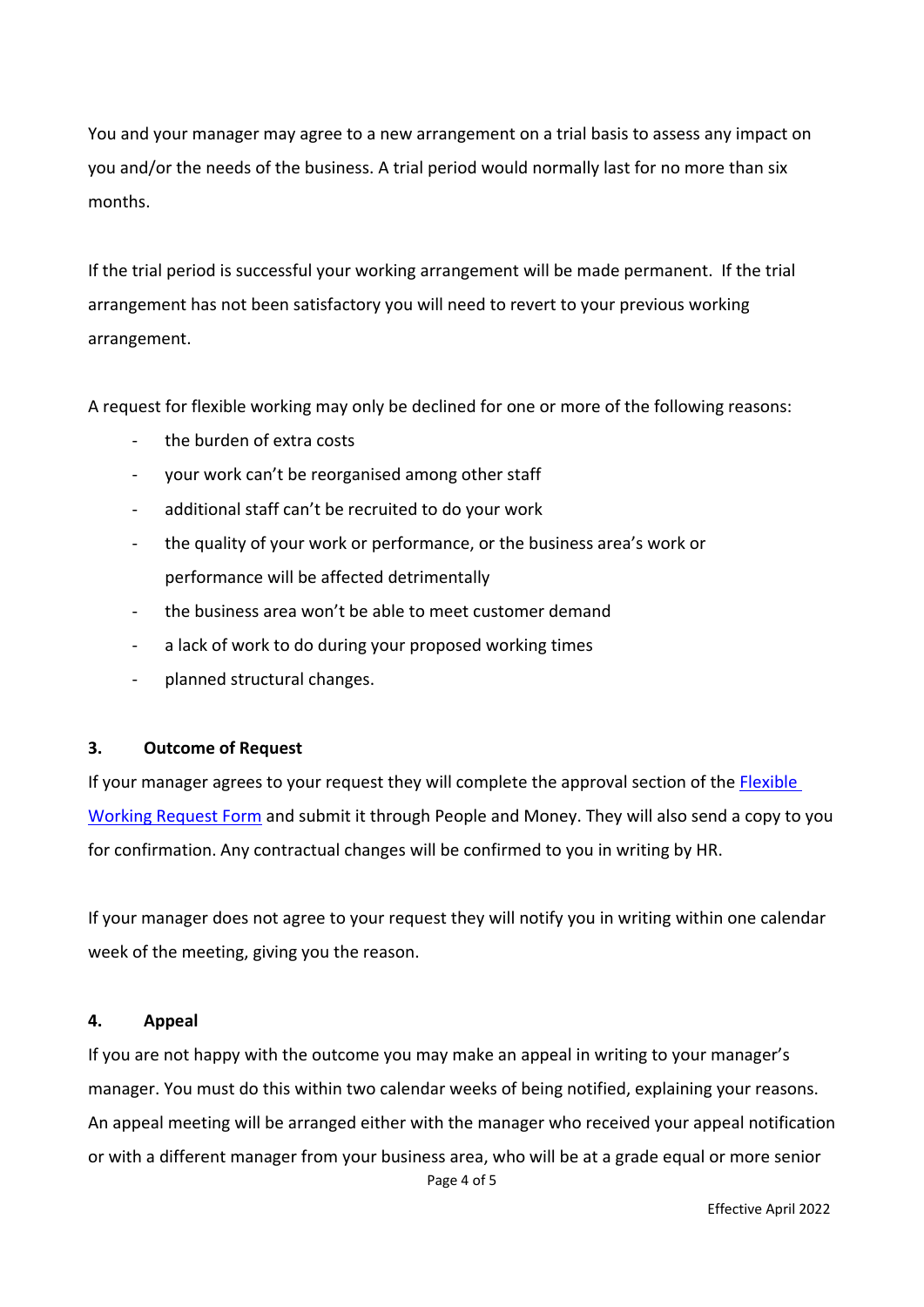You and your manager may agree to a new arrangement on a trial basis to assess any impact on you and/or the needs of the business. A trial period would normally last for no more than six months.

If the trial period is successful your working arrangement will be made permanent. If the trial arrangement has not been satisfactory you will need to revert to your previous working arrangement.

A request for flexible working may only be declined for one or more of the following reasons:

- the burden of extra costs
- your work can't be reorganised among other staff
- additional staff can't be recruited to do your work
- the quality of your work or performance, or the business area's work or performance will be affected detrimentally
- the business area won't be able to meet customer demand
- a lack of work to do during your proposed working times
- planned structural changes.

#### **3. Outcome of Request**

If your manager agrees to your request they will complete the approval section of the [Flexible](https://www.ed.ac.uk/human-resources/a-to-z-of-forms)  [Working Request Form](https://www.ed.ac.uk/human-resources/a-to-z-of-forms) and submit it through People and Money. They will also send a copy to you for confirmation. Any contractual changes will be confirmed to you in writing by HR.

If your manager does not agree to your request they will notify you in writing within one calendar week of the meeting, giving you the reason.

#### **4. Appeal**

If you are not happy with the outcome you may make an appeal in writing to your manager's manager. You must do this within two calendar weeks of being notified, explaining your reasons. An appeal meeting will be arranged either with the manager who received your appeal notification or with a different manager from your business area, who will be at a grade equal or more senior